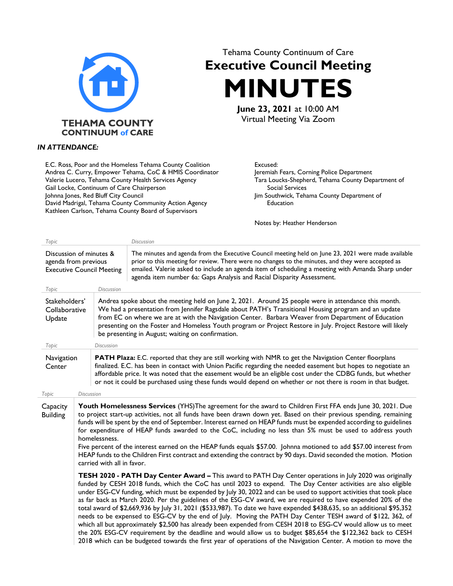

## *IN ATTENDANCE:*

E.C. Ross, Poor and the Homeless Tehama County Coalition Andrea C. Curry, Empower Tehama, CoC & HMIS Coordinator Valerie Lucero, Tehama County Health Services Agency Gail Locke, Continuum of Care Chairperson Johnna Jones, Red Bluff City Council David Madrigal, Tehama County Community Action Agency Kathleen Carlson, Tehama County Board of Supervisors

## Tehama County Continuum of Care **Executive Council Meeting MINUTES June 23, 2021** at 10:00 AM

Virtual Meeting Via Zoom

Excused:

Jeremiah Fears, Corning Police Department Tara Loucks-Shepherd, Tehama County Department of Social Services Jim Southwick, Tehama County Department of Education

Notes by: Heather Henderson

| Topic                                                                               |                                                                                                                                                                                                                                                                                                                                                                                                                                                                                                                                                                                                                                                                                                                                                                                                                                                                                                                                                                                                                                                               |                   | <b>Discussion</b>                                                                                                                                                                                                                                                                                                                                                                                                                                                                      |  |
|-------------------------------------------------------------------------------------|---------------------------------------------------------------------------------------------------------------------------------------------------------------------------------------------------------------------------------------------------------------------------------------------------------------------------------------------------------------------------------------------------------------------------------------------------------------------------------------------------------------------------------------------------------------------------------------------------------------------------------------------------------------------------------------------------------------------------------------------------------------------------------------------------------------------------------------------------------------------------------------------------------------------------------------------------------------------------------------------------------------------------------------------------------------|-------------------|----------------------------------------------------------------------------------------------------------------------------------------------------------------------------------------------------------------------------------------------------------------------------------------------------------------------------------------------------------------------------------------------------------------------------------------------------------------------------------------|--|
| Discussion of minutes &<br>agenda from previous<br><b>Executive Council Meeting</b> |                                                                                                                                                                                                                                                                                                                                                                                                                                                                                                                                                                                                                                                                                                                                                                                                                                                                                                                                                                                                                                                               |                   | The minutes and agenda from the Executive Council meeting held on June 23, 2021 were made available<br>prior to this meeting for review. There were no changes to the minutes, and they were accepted as<br>emailed. Valerie asked to include an agenda item of scheduling a meeting with Amanda Sharp under<br>agenda item number 6a: Gaps Analysis and Racial Disparity Assessment.                                                                                                  |  |
| Topic                                                                               |                                                                                                                                                                                                                                                                                                                                                                                                                                                                                                                                                                                                                                                                                                                                                                                                                                                                                                                                                                                                                                                               | <b>Discussion</b> |                                                                                                                                                                                                                                                                                                                                                                                                                                                                                        |  |
| Stakeholders'<br>Collaborative<br>Update<br>Topic                                   |                                                                                                                                                                                                                                                                                                                                                                                                                                                                                                                                                                                                                                                                                                                                                                                                                                                                                                                                                                                                                                                               | <b>Discussion</b> | Andrea spoke about the meeting held on June 2, 2021. Around 25 people were in attendance this month.<br>We had a presentation from Jennifer Ragsdale about PATH's Transitional Housing program and an update<br>from EC on where we are at with the Navigation Center. Barbara Weaver from Department of Education<br>presenting on the Foster and Homeless Youth program or Project Restore in July. Project Restore will likely<br>be presenting in August; waiting on confirmation. |  |
|                                                                                     |                                                                                                                                                                                                                                                                                                                                                                                                                                                                                                                                                                                                                                                                                                                                                                                                                                                                                                                                                                                                                                                               |                   |                                                                                                                                                                                                                                                                                                                                                                                                                                                                                        |  |
| Navigation<br>Center                                                                |                                                                                                                                                                                                                                                                                                                                                                                                                                                                                                                                                                                                                                                                                                                                                                                                                                                                                                                                                                                                                                                               |                   | PATH Plaza: E.C. reported that they are still working with NMR to get the Navigation Center floorplans<br>finalized. E.C. has been in contact with Union Pacific regarding the needed easement but hopes to negotiate an<br>affordable price. It was noted that the easement would be an eligible cost under the CDBG funds, but whether<br>or not it could be purchased using these funds would depend on whether or not there is room in that budget.                                |  |
| Topic                                                                               | <b>Discussion</b>                                                                                                                                                                                                                                                                                                                                                                                                                                                                                                                                                                                                                                                                                                                                                                                                                                                                                                                                                                                                                                             |                   |                                                                                                                                                                                                                                                                                                                                                                                                                                                                                        |  |
| Capacity<br><b>Building</b>                                                         | Youth Homelessness Services (YHS) The agreement for the award to Children First FFA ends June 30, 2021. Due<br>to project start-up activities, not all funds have been drawn down yet. Based on their previous spending, remaining<br>funds will be spent by the end of September. Interest earned on HEAP funds must be expended according to guidelines<br>for expenditure of HEAP funds awarded to the CoC, including no less than 5% must be used to address youth<br>homelessness.<br>Five percent of the interest earned on the HEAP funds equals \$57.00. Johnna motioned to add \$57.00 interest from<br>HEAP funds to the Children First contract and extending the contract by 90 days. David seconded the motion. Motion<br>carried with all in favor.                                                                                                                                                                                                                                                                                             |                   |                                                                                                                                                                                                                                                                                                                                                                                                                                                                                        |  |
|                                                                                     | TESH 2020 - PATH Day Center Award - This award to PATH Day Center operations in July 2020 was originally<br>funded by CESH 2018 funds, which the CoC has until 2023 to expend. The Day Center activities are also eligible<br>under ESG-CV funding, which must be expended by July 30, 2022 and can be used to support activities that took place<br>as far back as March 2020. Per the guidelines of the ESG-CV award, we are required to have expended 20% of the<br>total award of \$2,669,936 by July 31, 2021 (\$533,987). To date we have expended \$438,635, so an additional \$95,352<br>needs to be expensed to ESG-CV by the end of July. Moving the PATH Day Center TESH award of \$122, 362, of<br>which all but approximately \$2,500 has already been expended from CESH 2018 to ESG-CV would allow us to meet<br>the 20% ESG-CV requirement by the deadline and would allow us to budget \$85,654 the \$122,362 back to CESH<br>2018 which can be budgeted towards the first year of operations of the Navigation Center. A motion to move the |                   |                                                                                                                                                                                                                                                                                                                                                                                                                                                                                        |  |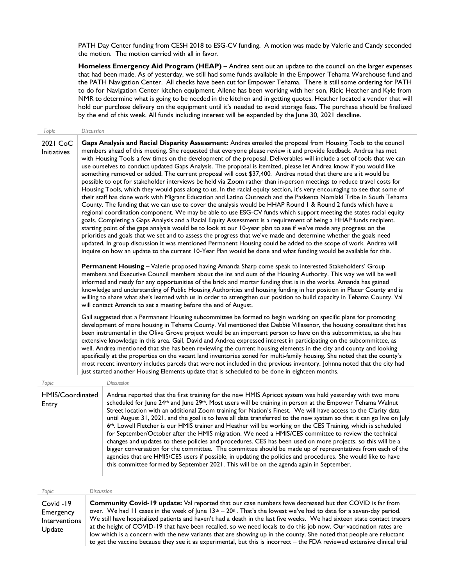PATH Day Center funding from CESH 2018 to ESG-CV funding. A motion was made by Valerie and Candy seconded the motion. The motion carried with all in favor.

**Homeless Emergency Aid Program (HEAP)** – Andrea sent out an update to the council on the larger expenses that had been made. As of yesterday, we still had some funds available in the Empower Tehama Warehouse fund and the PATH Navigation Center. All checks have been cut for Empower Tehama. There is still some ordering for PATH to do for Navigation Center kitchen equipment. Allene has been working with her son, Rick; Heather and Kyle from NMR to determine what is going to be needed in the kitchen and in getting quotes. Heather located a vendor that will hold our purchase delivery on the equipment until it's needed to avoid storage fees. The purchase should be finalized by the end of this week. All funds including interest will be expended by the June 30, 2021 deadline.

*Topic Discussion*

2021 CoC Initiatives

Update

**Gaps Analysis and Racial Disparity Assessment:** Andrea emailed the proposal from Housing Tools to the council members ahead of this meeting. She requested that everyone please review it and provide feedback. Andrea has met with Housing Tools a few times on the development of the proposal. Deliverables will include a set of tools that we can use ourselves to conduct updated Gaps Analysis. The proposal is itemized, please let Andrea know if you would like something removed or added. The current proposal will cost \$37,400. Andrea noted that there are a it would be possible to opt for stakeholder interviews be held via Zoom rather than in-person meetings to reduce travel costs for Housing Tools, which they would pass along to us. In the racial equity section, it's very encouraging to see that some of their staff has done work with Migrant Education and Latino Outreach and the Paskenta Nomlaki Tribe in South Tehama County. The funding that we can use to cover the analysis would be HHAP Round 1 & Round 2 funds which have a regional coordination component. We may be able to use ESG-CV funds which support meeting the states racial equity goals. Completing a Gaps Analysis and a Racial Equity Assessment is a requirement of being a HHAP funds recipient. starting point of the gaps analysis would be to look at our 10-year plan to see if we've made any progress on the priorities and goals that we set and to assess the progress that we've made and determine whether the goals need updated. In group discussion it was mentioned Permanent Housing could be added to the scope of work. Andrea will inquire on how an update to the current 10-Year Plan would be done and what funding would be available for this.

**Permanent Housing** – Valerie proposed having Amanda Sharp come speak to interested Stakeholders' Group members and Executive Council members about the ins and outs of the Housing Authority. This way we will be well informed and ready for any opportunities of the brick and mortar funding that is in the works. Amanda has gained knowledge and understanding of Public Housing Authorities and housing funding in her position in Placer County and is willing to share what she's learned with us in order to strengthen our position to build capacity in Tehama County. Val will contact Amanda to set a meeting before the end of August.

Gail suggested that a Permanent Housing subcommittee be formed to begin working on specific plans for promoting development of more housing in Tehama County. Val mentioned that Debbie Villasenor, the housing consultant that has been instrumental in the Olive Grove project would be an important person to have on this subcommittee, as she has extensive knowledge in this area. Gail, David and Andrea expressed interest in participating on the subcommittee, as well. Andrea mentioned that she has been reviewing the current housing elements in the city and county and looking specifically at the properties on the vacant land inventories zoned for multi-family housing. She noted that the county's most recent inventory includes parcels that were not included in the previous inventory. Johnna noted that the city had just started another Housing Elements update that is scheduled to be done in eighteen months.

| Topic                     |                                                                                                                | Discussion                                                                                                                                                                                                                                                                                                                                                                                                                                                                                                                                                                                                                                                                                                                                                                                                                                                                                                                                                                                                                                                                                                                                                            |  |
|---------------------------|----------------------------------------------------------------------------------------------------------------|-----------------------------------------------------------------------------------------------------------------------------------------------------------------------------------------------------------------------------------------------------------------------------------------------------------------------------------------------------------------------------------------------------------------------------------------------------------------------------------------------------------------------------------------------------------------------------------------------------------------------------------------------------------------------------------------------------------------------------------------------------------------------------------------------------------------------------------------------------------------------------------------------------------------------------------------------------------------------------------------------------------------------------------------------------------------------------------------------------------------------------------------------------------------------|--|
| HMIS/Coordinated<br>Entry |                                                                                                                | Andrea reported that the first training for the new HMIS Apricot system was held yesterday with two more<br>scheduled for June 24 <sup>th</sup> and June 29 <sup>th</sup> . Most users will be training in person at the Empower Tehama Walnut<br>Street location with an additional Zoom training for Nation's Finest. We will have access to the Clarity data<br>until August 31, 2021, and the goal is to have all data transferred to the new system so that it can go live on July<br>6 <sup>th</sup> . Lowell Fletcher is our HMIS trainer and Heather will be working on the CES Training, which is scheduled<br>for September/October after the HMIS migration. We need a HMIS/CES committee to review the technical<br>changes and updates to these policies and procedures. CES has been used on more projects, so this will be a<br>bigger conversation for the committee. The committee should be made up of representatives from each of the<br>agencies that are HMIS/CES users if possible, in updating the policies and procedures. She would like to have<br>this committee formed by September 2021. This will be on the agenda again in September. |  |
| Topic                     |                                                                                                                | <b>Discussion</b>                                                                                                                                                                                                                                                                                                                                                                                                                                                                                                                                                                                                                                                                                                                                                                                                                                                                                                                                                                                                                                                                                                                                                     |  |
| Covid -19                 | <b>Community Covid-19 update:</b> Val reported that our case numbers have decreased but that COVID is far from |                                                                                                                                                                                                                                                                                                                                                                                                                                                                                                                                                                                                                                                                                                                                                                                                                                                                                                                                                                                                                                                                                                                                                                       |  |

Emergency Interventions over. We had 11 cases in the week of June  $13<sup>th</sup> - 20<sup>th</sup>$ . That's the lowest we've had to date for a seven-day period. We still have hospitalized patients and haven't had a death in the last five weeks. We had sixteen state contact tracers at the height of COVID-19 that have been recalled, so we need locals to do this job now. Our vaccination rates are low which is a concern with the new variants that are showing up in the county. She noted that people are reluctant to get the vaccine because they see it as experimental, but this is incorrect – the FDA reviewed extensive clinical trial